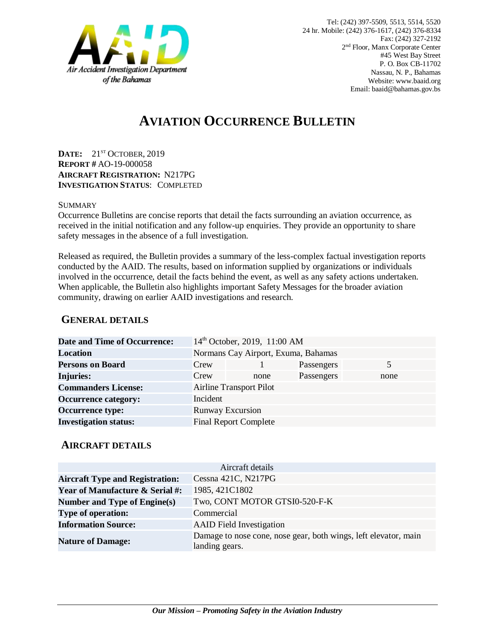

# **AVIATION OCCURRENCE BULLETIN**

**DATE:** 21ST OCTOBER, 2019 **REPORT #** AO-19-000058 **AIRCRAFT REGISTRATION:** N217PG **INVESTIGATION STATUS**: COMPLETED

#### SUMMARY

Occurrence Bulletins are concise reports that detail the facts surrounding an aviation occurrence, as received in the initial notification and any follow-up enquiries. They provide an opportunity to share safety messages in the absence of a full investigation*.*

Released as required, the Bulletin provides a summary of the less-complex factual investigation reports conducted by the AAID. The results, based on information supplied by organizations or individuals involved in the occurrence, detail the facts behind the event, as well as any safety actions undertaken. When applicable, the Bulletin also highlights important Safety Messages for the broader aviation community, drawing on earlier AAID investigations and research.

### **GENERAL DETAILS**

| <b>Date and Time of Occurrence:</b> |                                     | 14th October, 2019, 11:00 AM |            |      |
|-------------------------------------|-------------------------------------|------------------------------|------------|------|
| <b>Location</b>                     | Normans Cay Airport, Exuma, Bahamas |                              |            |      |
| <b>Persons on Board</b>             | Crew                                |                              | Passengers | 5    |
| <b>Injuries:</b>                    | Crew                                | none                         | Passengers | none |
| <b>Commanders License:</b>          | <b>Airline Transport Pilot</b>      |                              |            |      |
| <b>Occurrence category:</b>         | Incident                            |                              |            |      |
| <b>Occurrence type:</b>             | <b>Runway Excursion</b>             |                              |            |      |
| <b>Investigation status:</b>        |                                     | <b>Final Report Complete</b> |            |      |

#### **AIRCRAFT DETAILS**

|                                            | Aircraft details                                                                  |
|--------------------------------------------|-----------------------------------------------------------------------------------|
| <b>Aircraft Type and Registration:</b>     | Cessna 421C, N217PG                                                               |
| <b>Year of Manufacture &amp; Serial #:</b> | 1985, 421C1802                                                                    |
| <b>Number and Type of Engine(s)</b>        | Two, CONT MOTOR GTSI0-520-F-K                                                     |
| <b>Type of operation:</b>                  | Commercial                                                                        |
| <b>Information Source:</b>                 | <b>AAID</b> Field Investigation                                                   |
| <b>Nature of Damage:</b>                   | Damage to nose cone, nose gear, both wings, left elevator, main<br>landing gears. |